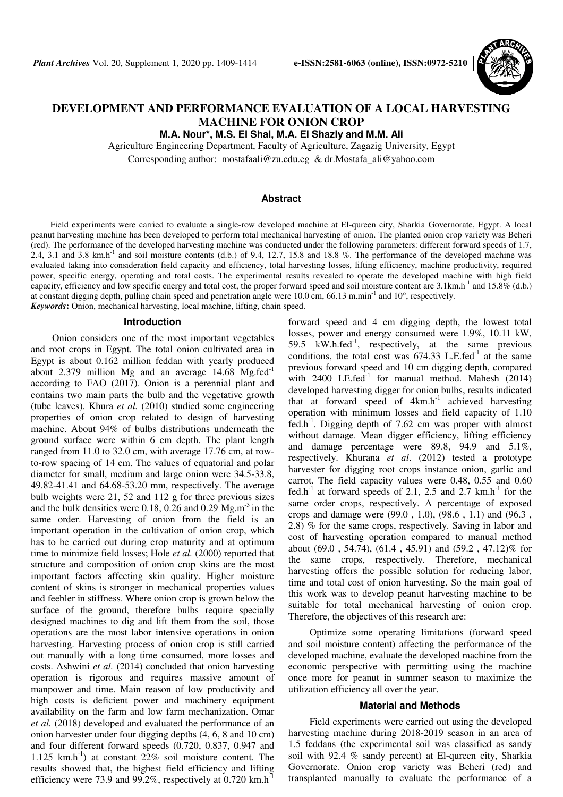

# **DEVELOPMENT AND PERFORMANCE EVALUATION OF A LOCAL HARVESTING MACHINE FOR ONION CROP**

**M.A. Nour\*, M.S. El Shal, M.A. El Shazly and M.M. Ali** 

Agriculture Engineering Department, Faculty of Agriculture, Zagazig University, Egypt

Corresponding author: mostafaali@zu.edu.eg & dr.Mostafa\_ali@yahoo.com

### **Abstract**

Field experiments were carried to evaluate a single-row developed machine at El-qureen city, Sharkia Governorate, Egypt. A local peanut harvesting machine has been developed to perform total mechanical harvesting of onion. The planted onion crop variety was Beheri (red). The performance of the developed harvesting machine was conducted under the following parameters: different forward speeds of 1.7, 2.4, 3.1 and 3.8 km.h<sup>-1</sup> and soil moisture contents (d.b.) of 9.4, 12.7, 15.8 and 18.8 %. The performance of the developed machine was evaluated taking into consideration field capacity and efficiency, total harvesting losses, lifting efficiency, machine productivity, required power, specific energy, operating and total costs. The experimental results revealed to operate the developed machine with high field capacity, efficiency and low specific energy and total cost, the proper forward speed and soil moisture content are  $3.1 \text{km} \cdot \text{h}^{-1}$  and  $15.8\%$  (d.b.) at constant digging depth, pulling chain speed and penetration angle were 10.0 cm, 66.13 m.min-1 and 10°, respectively. *Keywords***:** Onion, mechanical harvesting, local machine, lifting, chain speed.

#### **Introduction**

Onion considers one of the most important vegetables and root crops in Egypt. The total onion cultivated area in Egypt is about 0.162 million feddan with yearly produced about 2.379 million Mg and an average  $14.68 \text{ Mg.fed}^{-1}$ according to FAO (2017). Onion is a perennial plant and contains two main parts the bulb and the vegetative growth (tube leaves). Khura *et al.* (2010) studied some engineering properties of onion crop related to design of harvesting machine. About 94% of bulbs distributions underneath the ground surface were within 6 cm depth. The plant length ranged from 11.0 to 32.0 cm, with average 17.76 cm, at rowto-row spacing of 14 cm. The values of equatorial and polar diameter for small, medium and large onion were 34.5-33.8, 49.82-41.41 and 64.68-53.20 mm, respectively. The average bulb weights were 21, 52 and 112 g for three previous sizes and the bulk densities were 0.18, 0.26 and 0.29  $Mg.m<sup>-3</sup>$  in the same order. Harvesting of onion from the field is an important operation in the cultivation of onion crop, which has to be carried out during crop maturity and at optimum time to minimize field losses; Hole *et al.* (2000) reported that structure and composition of onion crop skins are the most important factors affecting skin quality. Higher moisture content of skins is stronger in mechanical properties values and feebler in stiffness. Where onion crop is grown below the surface of the ground, therefore bulbs require specially designed machines to dig and lift them from the soil, those operations are the most labor intensive operations in onion harvesting. Harvesting process of onion crop is still carried out manually with a long time consumed, more losses and costs. Ashwini *et al.* (2014) concluded that onion harvesting operation is rigorous and requires massive amount of manpower and time. Main reason of low productivity and high costs is deficient power and machinery equipment availability on the farm and low farm mechanization. Omar *et al.* (2018) developed and evaluated the performance of an onion harvester under four digging depths (4, 6, 8 and 10 cm) and four different forward speeds (0.720, 0.837, 0.947 and 1.125 km.h<sup>-1</sup>) at constant  $22\%$  soil moisture content. The results showed that, the highest field efficiency and lifting efficiency were 73.9 and 99.2%, respectively at  $0.720 \text{ km.h}^{-1}$ 

forward speed and 4 cm digging depth, the lowest total losses, power and energy consumed were 1.9%, 10.11 kW, 59.5  $kW.h.fed^{-1}$ , respectively, at the same previous conditions, the total cost was  $674.33$  L.E.fed<sup>-1</sup> at the same previous forward speed and 10 cm digging depth, compared with  $2400$  LE.fed<sup>-1</sup> for manual method. Mahesh  $(2014)$ developed harvesting digger for onion bulbs, results indicated that at forward speed of  $4km.h^{-1}$  achieved harvesting operation with minimum losses and field capacity of 1.10 fed.h<sup>-1</sup>. Digging depth of 7.62 cm was proper with almost without damage. Mean digger efficiency, lifting efficiency and damage percentage were 89.8, 94.9 and 5.1%, respectively. Khurana *et al*. (2012) tested a prototype harvester for digging root crops instance onion, garlic and carrot. The field capacity values were 0.48, 0.55 and 0.60 fed.h<sup>-1</sup> at forward speeds of 2.1, 2.5 and 2.7 km.h<sup>-1</sup> for the same order crops, respectively. A percentage of exposed crops and damage were (99.0 , 1.0), (98.6 , 1.1) and (96.3 , 2.8) % for the same crops, respectively. Saving in labor and cost of harvesting operation compared to manual method about (69.0 , 54.74), (61.4 , 45.91) and (59.2 , 47.12)% for the same crops, respectively. Therefore, mechanical harvesting offers the possible solution for reducing labor, time and total cost of onion harvesting. So the main goal of this work was to develop peanut harvesting machine to be suitable for total mechanical harvesting of onion crop. Therefore, the objectives of this research are:

Optimize some operating limitations (forward speed and soil moisture content) affecting the performance of the developed machine, evaluate the developed machine from the economic perspective with permitting using the machine once more for peanut in summer season to maximize the utilization efficiency all over the year.

#### **Material and Methods**

Field experiments were carried out using the developed harvesting machine during 2018-2019 season in an area of 1.5 feddans (the experimental soil was classified as sandy soil with 92.4 % sandy percent) at El-qureen city, Sharkia Governorate. Onion crop variety was Beheri (red) and transplanted manually to evaluate the performance of a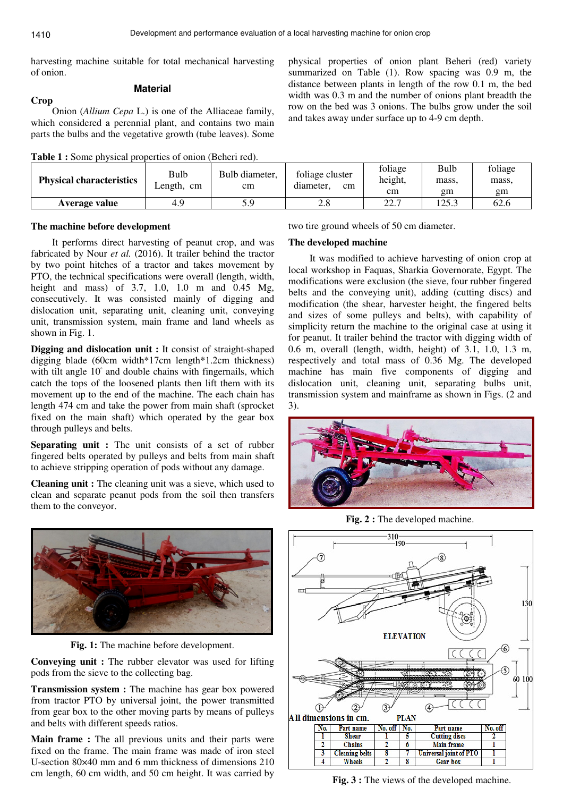**Crop** 

harvesting machine suitable for total mechanical harvesting of onion.

# **Material**

Onion (*Allium Cepa* L.) is one of the Alliaceae family, which considered a perennial plant, and contains two main parts the bulbs and the vegetative growth (tube leaves). Some

|  |  |  |  |  | <b>Table 1 :</b> Some physical properties of onion (Beheri red). |
|--|--|--|--|--|------------------------------------------------------------------|
|--|--|--|--|--|------------------------------------------------------------------|

physical properties of onion plant Beheri (red) variety summarized on Table (1). Row spacing was 0.9 m, the distance between plants in length of the row 0.1 m, the bed width was 0.3 m and the number of onions plant breadth the row on the bed was 3 onions. The bulbs grow under the soil and takes away under surface up to 4-9 cm depth.

| <b>Physical characteristics</b> | Bulb<br>Length, cm | Bulb diameter.<br>cm | foliage cluster<br>diameter.<br>$\rm cm$ | foliage<br>height,<br>cm | Bulb<br>mass,<br>gm | foliage<br>mass.<br>gm |
|---------------------------------|--------------------|----------------------|------------------------------------------|--------------------------|---------------------|------------------------|
| Average value                   | 4.9                | 5.9                  | 2.8                                      | 227<br>ا مطابط           | 125.3               | 62.6                   |

# **The machine before development**

It performs direct harvesting of peanut crop, and was fabricated by Nour *et al.* (2016). It trailer behind the tractor by two point hitches of a tractor and takes movement by PTO, the technical specifications were overall (length, width, height and mass) of 3.7, 1.0, 1.0 m and 0.45 Mg, consecutively. It was consisted mainly of digging and dislocation unit, separating unit, cleaning unit, conveying unit, transmission system, main frame and land wheels as shown in Fig. 1.

**Digging and dislocation unit :** It consist of straight-shaped digging blade (60cm width\*17cm length\*1.2cm thickness) with tilt angle 10° and double chains with fingernails, which catch the tops of the loosened plants then lift them with its movement up to the end of the machine. The each chain has length 474 cm and take the power from main shaft (sprocket fixed on the main shaft) which operated by the gear box through pulleys and belts.

**Separating unit :** The unit consists of a set of rubber fingered belts operated by pulleys and belts from main shaft to achieve stripping operation of pods without any damage.

**Cleaning unit :** The cleaning unit was a sieve, which used to clean and separate peanut pods from the soil then transfers them to the conveyor.



**Fig. 1:** The machine before development.

**Conveying unit :** The rubber elevator was used for lifting pods from the sieve to the collecting bag.

**Transmission system :** The machine has gear box powered from tractor PTO by universal joint, the power transmitted from gear box to the other moving parts by means of pulleys and belts with different speeds ratios.

**Main frame :** The all previous units and their parts were fixed on the frame. The main frame was made of iron steel U-section 80×40 mm and 6 mm thickness of dimensions 210 cm length, 60 cm width, and 50 cm height. It was carried by two tire ground wheels of 50 cm diameter.

### **The developed machine**

It was modified to achieve harvesting of onion crop at local workshop in Faquas, Sharkia Governorate, Egypt. The modifications were exclusion (the sieve, four rubber fingered belts and the conveying unit), adding (cutting discs) and modification (the shear, harvester height, the fingered belts and sizes of some pulleys and belts), with capability of simplicity return the machine to the original case at using it for peanut. It trailer behind the tractor with digging width of 0.6 m, overall (length, width, height) of 3.1, 1.0, 1.3 m, respectively and total mass of 0.36 Mg. The developed machine has main five components of digging and dislocation unit, cleaning unit, separating bulbs unit, transmission system and mainframe as shown in Figs. (2 and 3).



**Fig. 2 :** The developed machine.



**Fig. 3 :** The views of the developed machine.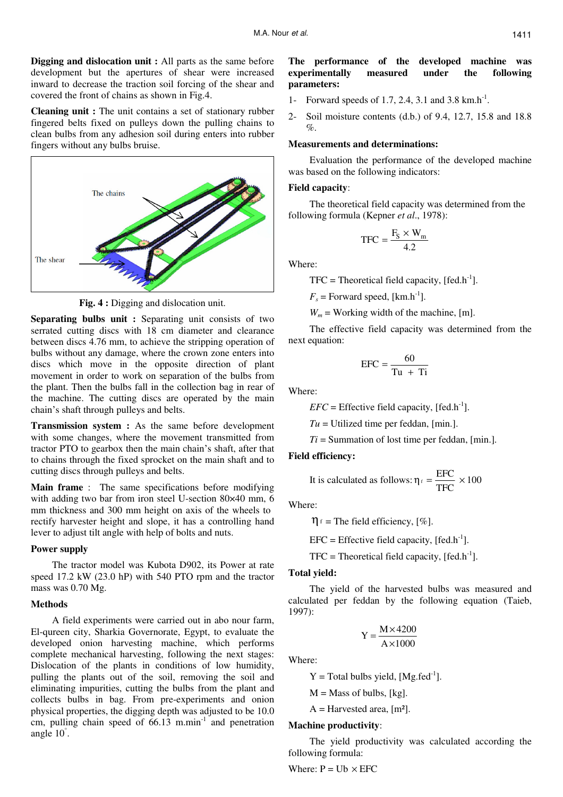**Digging and dislocation unit :** All parts as the same before development but the apertures of shear were increased inward to decrease the traction soil forcing of the shear and covered the front of chains as shown in Fig.4.

**Cleaning unit :** The unit contains a set of stationary rubber fingered belts fixed on pulleys down the pulling chains to clean bulbs from any adhesion soil during enters into rubber fingers without any bulbs bruise.



**Fig. 4 :** Digging and dislocation unit.

**Separating bulbs unit :** Separating unit consists of two serrated cutting discs with 18 cm diameter and clearance between discs 4.76 mm, to achieve the stripping operation of bulbs without any damage, where the crown zone enters into discs which move in the opposite direction of plant movement in order to work on separation of the bulbs from the plant. Then the bulbs fall in the collection bag in rear of the machine. The cutting discs are operated by the main chain's shaft through pulleys and belts.

**Transmission system :** As the same before development with some changes, where the movement transmitted from tractor PTO to gearbox then the main chain's shaft, after that to chains through the fixed sprocket on the main shaft and to cutting discs through pulleys and belts.

**Main frame** : The same specifications before modifying with adding two bar from iron steel U-section 80×40 mm, 6 mm thickness and 300 mm height on axis of the wheels to rectify harvester height and slope, it has a controlling hand lever to adjust tilt angle with help of bolts and nuts.

# **Power supply**

The tractor model was Kubota D902, its Power at rate speed 17.2 kW (23.0 hP) with 540 PTO rpm and the tractor mass was 0.70 Mg.

# **Methods**

A field experiments were carried out in abo nour farm, El-qureen city, Sharkia Governorate, Egypt, to evaluate the developed onion harvesting machine, which performs complete mechanical harvesting, following the next stages: Dislocation of the plants in conditions of low humidity, pulling the plants out of the soil, removing the soil and eliminating impurities, cutting the bulbs from the plant and collects bulbs in bag. From pre-experiments and onion physical properties, the digging depth was adjusted to be 10.0 cm, pulling chain speed of  $66.13$  m.min<sup>-1</sup> and penetration angle 10° .

# **The performance of the developed machine was experimentally measured under the following parameters:**

- 1- Forward speeds of 1.7, 2.4, 3.1 and 3.8  $km.h^{-1}$ .
- 2- Soil moisture contents (d.b.) of 9.4, 12.7, 15.8 and 18.8  $\%$ .

# **Measurements and determinations:**

Evaluation the performance of the developed machine was based on the following indicators:

#### **Field capacity**:

The theoretical field capacity was determined from the following formula (Kepner *et al*., 1978):

$$
TFC = \frac{F_S \times W_m}{4.2}
$$

Where:

 $TFC = Theoretical field capacity, [fed.h<sup>-1</sup>].$ 

 $F_s$  = Forward speed, [km.h<sup>-1</sup>].

 $W_m$  = Working width of the machine, [m].

The effective field capacity was determined from the next equation:

$$
EFC = \frac{60}{Tu + Ti}
$$

Where:

 $EFC =$  Effective field capacity, [fed.h<sup>-1</sup>].

 $Tu =$  Utilized time per feddan, [min.].

 $Ti =$  Summation of lost time per feddan, [min.].

# **Field efficiency:**

It is calculated as follows: 
$$
\eta_f = \frac{\text{EFC}}{\text{TFC}} \times 100
$$

Where:

 $\eta_f$  = The field efficiency, [%].

 $EFC = Effective field capacity, [fed.h<sup>-1</sup>].$ 

 $TFC = Theoretical field capacity, [fed.h<sup>-1</sup>].$ 

#### **Total yield:**

The yield of the harvested bulbs was measured and calculated per feddan by the following equation (Taieb, 1997):

$$
Y = \frac{M \times 4200}{A \times 1000}
$$

Where:

 $Y = Total$  bulbs yield, [Mg.fed<sup>-1</sup>].

 $M =$ Mass of bulbs, [kg].

 $A =$  Harvested area, [m<sup>2</sup>].

# **Machine productivity**:

The yield productivity was calculated according the following formula:

Where:  $P = Ub \times EFC$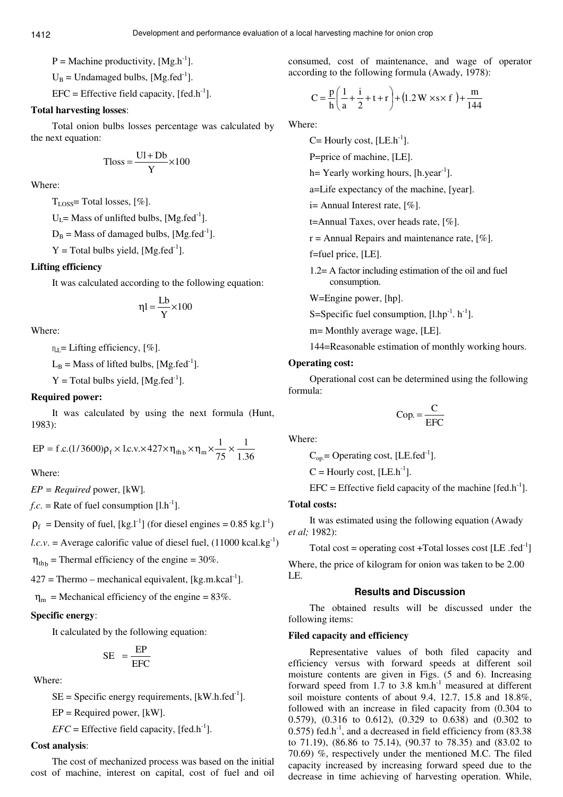$P =$  Machine productivity,  $[Mg.h^{-1}]$ .

 $U_B$  = Undamaged bulbs, [Mg.fed<sup>-1</sup>].

 $EFC =$  Effective field capacity,  $[fed.h^{-1}]$ .

# **Total harvesting losses**:

Total onion bulbs losses percentage was calculated by the next equation:

$$
Tloss = \frac{UI + Db}{Y} \times 100
$$

Where:

TLOSS= Total losses, [%].

 $U_l$  = Mass of unlifted bulbs, [Mg.fed<sup>-1</sup>].

 $D_B$  = Mass of damaged bulbs, [Mg.fed<sup>-1</sup>].

 $Y = Total bulbs yield, [Mg.fed^{-1}].$ 

# **Lifting efficiency**

It was calculated according to the following equation:

$$
\eta l = \frac{Lb}{Y} \times 100
$$

Where:

 $n_{\text{I}} =$  Lifting efficiency, [%].

 $L_B$  = Mass of lifted bulbs, [Mg.fed<sup>-1</sup>].

 $Y = Total bulbs yield, [Mg.fed^{-1}].$ 

# **Required power:**

It was calculated by using the next formula (Hunt, 1983):

$$
EP = f.c.(1/3600)\rho_f \times 1.c.v. \times 427 \times \eta_{thb} \times \eta_m \times \frac{1}{75} \times \frac{1}{1.36}
$$

Where:

*EP = Required* power, [kW]*.* 

*f.c.* = Rate of fuel consumption  $[1.h^{-1}]$ .

 $\rho_f$  = Density of fuel, [kg.l<sup>-1</sup>] (for diesel engines = 0.85 kg.l<sup>-1</sup>)

 $l.c.v.$  = Average calorific value of diesel fuel,  $(11000 \text{ kcal/kg}^{-1})$ 

 $\eta_{\text{th}}$  = Thermal efficiency of the engine = 30%.

 $427 =$ Thermo – mechanical equivalent, [kg.m.kcal<sup>-1</sup>].

 $\eta_{\rm m}$  = Mechanical efficiency of the engine = 83%.

# **Specific energy**:

It calculated by the following equation:

$$
SE = \frac{EP}{EFC}
$$

Where:

 $SE = Specific$  energy requirements,  $[kW.h.fed^{-1}]$ .

 $EP = Required power, [kW].$ 

 $EFC =$  Effective field capacity,  $[fed.h^{-1}]$ .

# **Cost analysis**:

The cost of mechanized process was based on the initial cost of machine, interest on capital, cost of fuel and oil consumed, cost of maintenance, and wage of operator according to the following formula (Awady, 1978):

$$
C = \frac{p}{h} \left( \frac{1}{a} + \frac{i}{2} + t + r \right) + (1.2 W \times s \times f) + \frac{m}{144}
$$

Where:

 $C=$  Hourly cost, [LE.h<sup>-1</sup>].

P=price of machine, [LE].

 $h=$  Yearly working hours, [h.year<sup>-1</sup>].

a=Life expectancy of the machine, [year].

 $i=$  Annual Interest rate,  $[\%]$ .

t=Annual Taxes, over heads rate, [%].

 $r =$  Annual Repairs and maintenance rate, [%].

f=fuel price, [LE].

1.2= A factor including estimation of the oil and fuel consumption.

W=Engine power, [hp].

S=Specific fuel consumption,  $[1.hp^{-1}$ . h<sup>-1</sup>].

m= Monthly average wage, [LE].

144=Reasonable estimation of monthly working hours.

# **Operating cost:**

Operational cost can be determined using the following formula:

$$
Cop. = \frac{C}{EFC}
$$

Where:

 $C_{op}$  = Operating cost, [LE.fed<sup>-1</sup>].

 $C =$  Hourly cost, [LE.h<sup>-1</sup>].

 $EFC =$  Effective field capacity of the machine [fed.h<sup>-1</sup>].

#### **Total costs:**

It was estimated using the following equation (Awady *et al;* 1982):

```
Total cost = operating cost +Total losses cost [LE .fed<sup>-1</sup>
```
Where, the price of kilogram for onion was taken to be 2.00 LE.

#### **Results and Discussion**

The obtained results will be discussed under the following items:

# **Filed capacity and efficiency**

Representative values of both filed capacity and efficiency versus with forward speeds at different soil moisture contents are given in Figs. (5 and 6). Increasing forward speed from  $1.7$  to  $3.8$  km.h<sup>-1</sup> measured at different soil moisture contents of about 9.4, 12.7, 15.8 and 18.8%, followed with an increase in filed capacity from (0.304 to 0.579), (0.316 to 0.612), (0.329 to 0.638) and (0.302 to  $(0.575)$  fed.h<sup>-1</sup>, and a decreased in field efficiency from  $(83.38)$ to 71.19), (86.86 to 75.14), (90.37 to 78.35) and (83.02 to 70.69) %, respectively under the mentioned M.C. The filed capacity increased by increasing forward speed due to the decrease in time achieving of harvesting operation. While,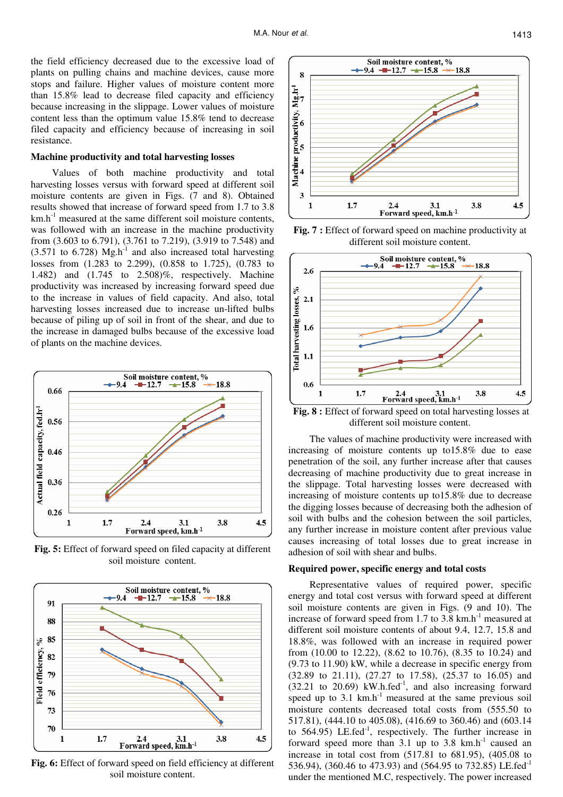the field efficiency decreased due to the excessive load of plants on pulling chains and machine devices, cause more stops and failure. Higher values of moisture content more than 15.8% lead to decrease filed capacity and efficiency because increasing in the slippage. Lower values of moisture content less than the optimum value 15.8% tend to decrease filed capacity and efficiency because of increasing in soil resistance.

#### **Machine productivity and total harvesting losses**

Values of both machine productivity and total harvesting losses versus with forward speed at different soil moisture contents are given in Figs. (7 and 8). Obtained results showed that increase of forward speed from 1.7 to 3.8  $km.h<sup>-1</sup>$  measured at the same different soil moisture contents, was followed with an increase in the machine productivity from (3.603 to 6.791), (3.761 to 7.219), (3.919 to 7.548) and  $(3.571)$  to 6.728) Mg.h<sup>-1</sup> and also increased total harvesting losses from (1.283 to 2.299), (0.858 to 1.725), (0.783 to 1.482) and (1.745 to 2.508)%, respectively. Machine productivity was increased by increasing forward speed due to the increase in values of field capacity. And also, total harvesting losses increased due to increase un-lifted bulbs because of piling up of soil in front of the shear, and due to the increase in damaged bulbs because of the excessive load of plants on the machine devices.



**Fig. 5:** Effect of forward speed on filed capacity at different soil moisture content.



**Fig. 6:** Effect of forward speed on field efficiency at different soil moisture content.



**Fig. 7 :** Effect of forward speed on machine productivity at different soil moisture content.



**Fig. 8 :** Effect of forward speed on total harvesting losses at different soil moisture content.

The values of machine productivity were increased with increasing of moisture contents up to15.8% due to ease penetration of the soil, any further increase after that causes decreasing of machine productivity due to great increase in the slippage. Total harvesting losses were decreased with increasing of moisture contents up to15.8% due to decrease the digging losses because of decreasing both the adhesion of soil with bulbs and the cohesion between the soil particles, any further increase in moisture content after previous value causes increasing of total losses due to great increase in adhesion of soil with shear and bulbs.

#### **Required power, specific energy and total costs**

Representative values of required power, specific energy and total cost versus with forward speed at different soil moisture contents are given in Figs. (9 and 10). The increase of forward speed from 1.7 to 3.8  $km.h^{-1}$  measured at different soil moisture contents of about 9.4, 12.7, 15.8 and 18.8%, was followed with an increase in required power from (10.00 to 12.22), (8.62 to 10.76), (8.35 to 10.24) and (9.73 to 11.90) kW, while a decrease in specific energy from (32.89 to 21.11), (27.27 to 17.58), (25.37 to 16.05) and  $(32.21 \text{ to } 20.69)$  kW.h.fed<sup>-1</sup>, and also increasing forward speed up to 3.1  $km.h^{-1}$  measured at the same previous soil moisture contents decreased total costs from (555.50 to 517.81), (444.10 to 405.08), (416.69 to 360.46) and (603.14 to  $564.95$ ) LE.fed<sup>-1</sup>, respectively. The further increase in forward speed more than 3.1 up to 3.8  $km.h^{-1}$  caused an increase in total cost from (517.81 to 681.95), (405.08 to 536.94), (360.46 to 473.93) and (564.95 to 732.85) LE.fed-1 under the mentioned M.C, respectively. The power increased